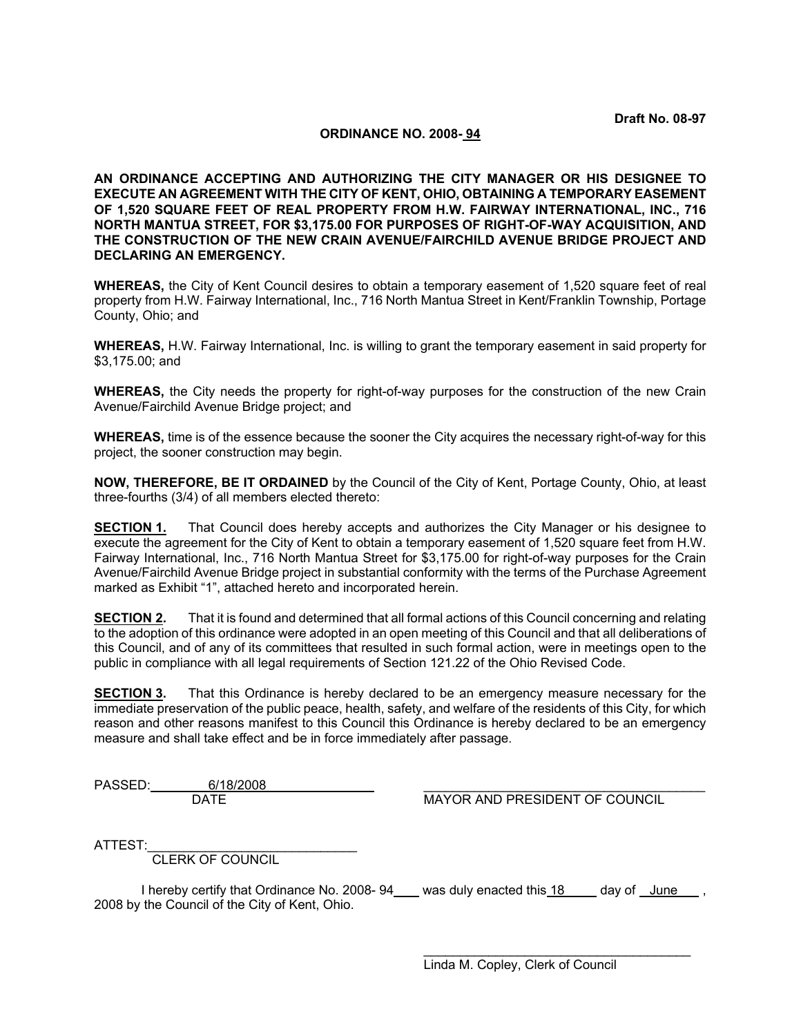# **ORDINANCE NO. 2008- 94**

**AN ORDINANCE ACCEPTING AND AUTHORIZING THE CITY MANAGER OR HIS DESIGNEE TO EXECUTE AN AGREEMENT WITH THE CITY OF KENT, OHIO, OBTAINING A TEMPORARY EASEMENT OF 1,520 SQUARE FEET OF REAL PROPERTY FROM H.W. FAIRWAY INTERNATIONAL, INC., 716 NORTH MANTUA STREET, FOR \$3,175.00 FOR PURPOSES OF RIGHT-OF-WAY ACQUISITION, AND THE CONSTRUCTION OF THE NEW CRAIN AVENUE/FAIRCHILD AVENUE BRIDGE PROJECT AND DECLARING AN EMERGENCY.** 

**WHEREAS,** the City of Kent Council desires to obtain a temporary easement of 1,520 square feet of real property from H.W. Fairway International, Inc., 716 North Mantua Street in Kent/Franklin Township, Portage County, Ohio; and

**WHEREAS,** H.W. Fairway International, Inc. is willing to grant the temporary easement in said property for \$3,175.00; and

**WHEREAS,** the City needs the property for right-of-way purposes for the construction of the new Crain Avenue/Fairchild Avenue Bridge project; and

**WHEREAS,** time is of the essence because the sooner the City acquires the necessary right-of-way for this project, the sooner construction may begin.

**NOW, THEREFORE, BE IT ORDAINED** by the Council of the City of Kent, Portage County, Ohio, at least three-fourths (3/4) of all members elected thereto:

**SECTION 1.** That Council does hereby accepts and authorizes the City Manager or his designee to execute the agreement for the City of Kent to obtain a temporary easement of 1.520 square feet from H.W. Fairway International, Inc., 716 North Mantua Street for \$3,175.00 for right-of-way purposes for the Crain Avenue/Fairchild Avenue Bridge project in substantial conformity with the terms of the Purchase Agreement marked as Exhibit "1", attached hereto and incorporated herein.

**SECTION 2.** That it is found and determined that all formal actions of this Council concerning and relating to the adoption of this ordinance were adopted in an open meeting of this Council and that all deliberations of this Council, and of any of its committees that resulted in such formal action, were in meetings open to the public in compliance with all legal requirements of Section 121.22 of the Ohio Revised Code.

**SECTION 3.** That this Ordinance is hereby declared to be an emergency measure necessary for the immediate preservation of the public peace, health, safety, and welfare of the residents of this City, for which reason and other reasons manifest to this Council this Ordinance is hereby declared to be an emergency measure and shall take effect and be in force immediately after passage.

PASSED: 6/18/2008

MAYOR AND PRESIDENT OF COUNCIL

ATTEST:

CLERK OF COUNCIL

I hereby certify that Ordinance No. 2008-94 was duly enacted this 18 day of June, 2008 by the Council of the City of Kent, Ohio.

> $\mathcal{L}_\text{max}$  and  $\mathcal{L}_\text{max}$  and  $\mathcal{L}_\text{max}$  and  $\mathcal{L}_\text{max}$  and  $\mathcal{L}_\text{max}$ Linda M. Copley, Clerk of Council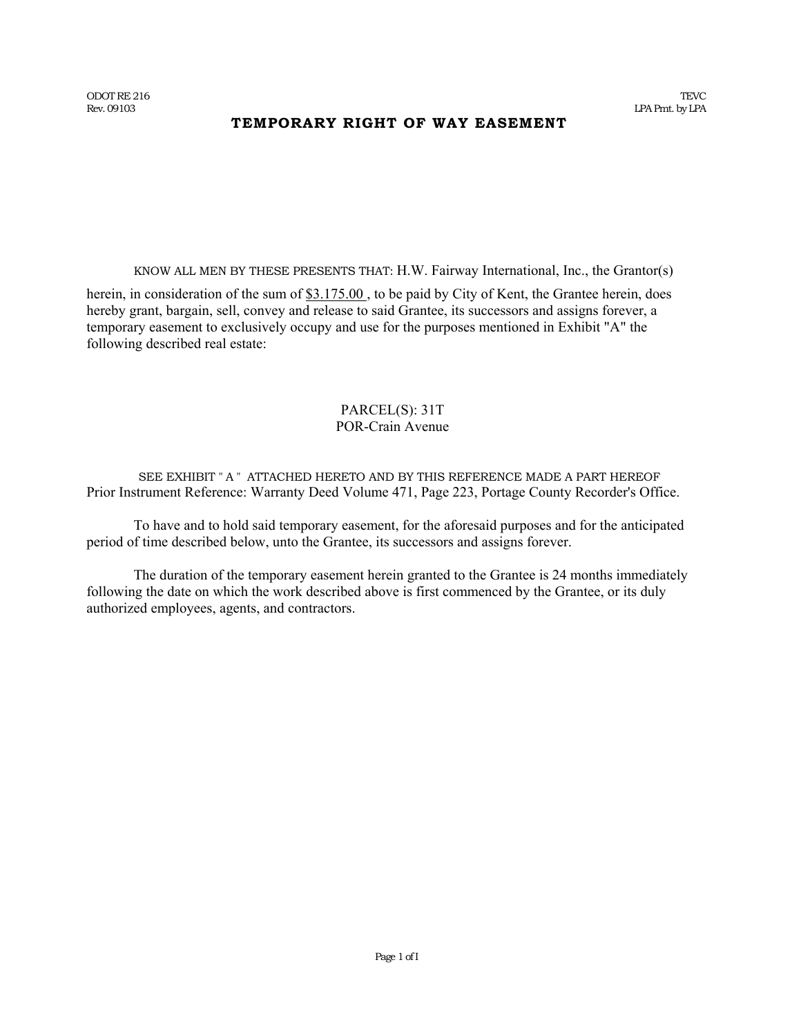# **TEMPORARY RIGHT OF WAY EASEMENT**

KNOW ALL MEN BY THESE PRESENTS THAT: H.W. Fairway International, Inc., the Grantor(s)

herein, in consideration of the sum of \$3.175.00, to be paid by City of Kent, the Grantee herein, does hereby grant, bargain, sell, convey and release to said Grantee, its successors and assigns forever, a temporary easement to exclusively occupy and use for the purposes mentioned in Exhibit "A" the following described real estate:

### PARCEL(S): 31T POR-Crain Avenue

SEE EXHIBIT " A " ATTACHED HERETO AND BY THIS REFERENCE MADE A PART HEREOF Prior Instrument Reference: Warranty Deed Volume 471, Page 223, Portage County Recorder's Office.

To have and to hold said temporary easement, for the aforesaid purposes and for the anticipated period of time described below, unto the Grantee, its successors and assigns forever.

The duration of the temporary easement herein granted to the Grantee is 24 months immediately following the date on which the work described above is first commenced by the Grantee, or its duly authorized employees, agents, and contractors.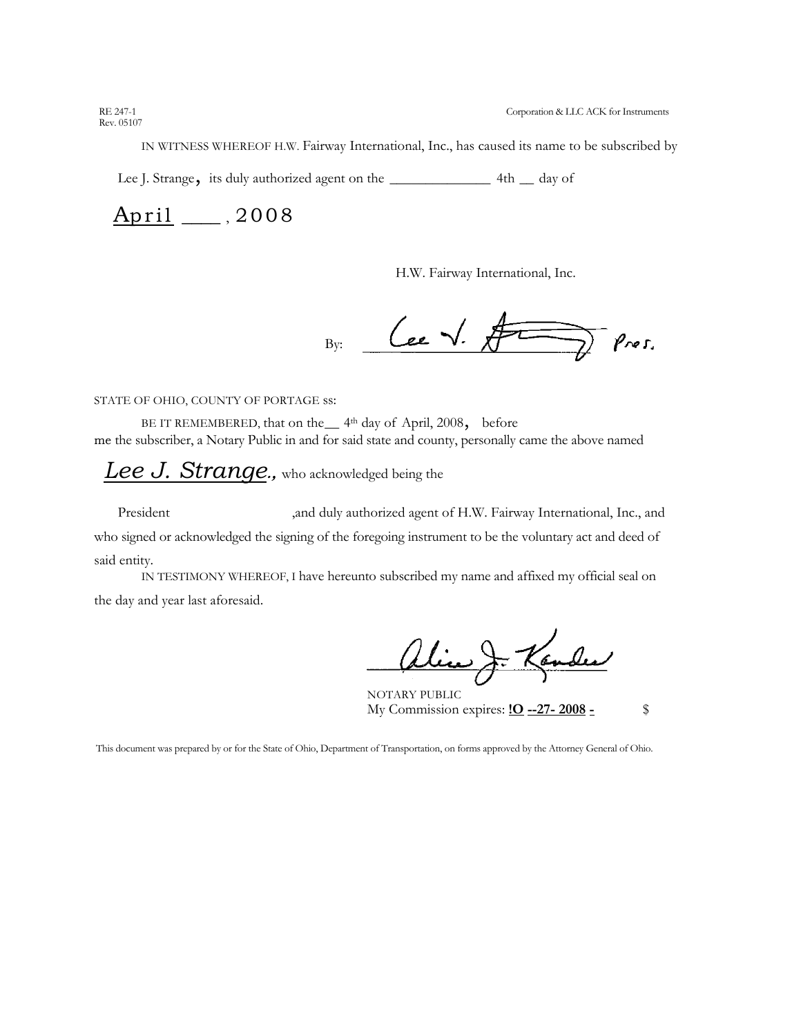IN WITNESS WHEREOF H.W. Fairway International, Inc., has caused its name to be subscribed by

Lee J. Strange, its duly authorized agent on the \_\_\_\_\_\_\_\_\_\_\_\_\_\_ 4th \_\_ day of

April , 2008

H.W. Fairway International, Inc.

Cee V. Fr  $\overline{D}$  Pres.  $B_{V}$ :

STATE OF OHIO, COUNTY OF PORTAGE ss:

BE IT REMEMBERED, that on the 4<sup>th</sup> day of April, 2008, before me the subscriber, a Notary Public in and for said state and county, personally came the above named

*Lee J. Strange***.,** who acknowledged being the

President ,and duly authorized agent of H.W. Fairway International, Inc., and who signed or acknowledged the signing of the foregoing instrument to be the voluntary act and deed of said entity.

IN TESTIMONY WHEREOF, I have hereunto subscribed my name and affixed my official seal on the day and year last aforesaid.

alice J. Kander

NOTARY PUBLIC My Commission expires: **!O --27- 2008 -** \$

This document was prepared by or for the State of Ohio, Department of Transportation, on forms approved by the Attorney General of Ohio.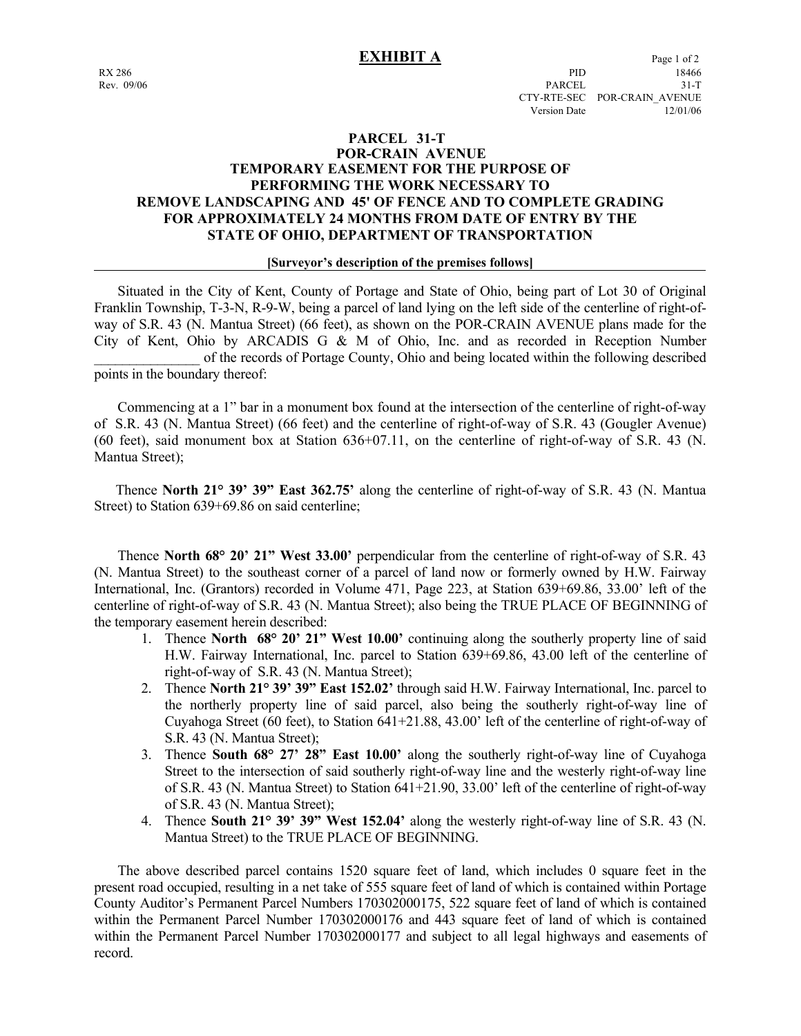# **PARCEL 31-T POR-CRAIN AVENUE TEMPORARY EASEMENT FOR THE PURPOSE OF PERFORMING THE WORK NECESSARY TO REMOVE LANDSCAPING AND 45' OF FENCE AND TO COMPLETE GRADING FOR APPROXIMATELY 24 MONTHS FROM DATE OF ENTRY BY THE STATE OF OHIO, DEPARTMENT OF TRANSPORTATION**

### **[Surveyor's description of the premises follows]**

 Situated in the City of Kent, County of Portage and State of Ohio, being part of Lot 30 of Original Franklin Township, T-3-N, R-9-W, being a parcel of land lying on the left side of the centerline of right-ofway of S.R. 43 (N. Mantua Street) (66 feet), as shown on the POR-CRAIN AVENUE plans made for the City of Kent, Ohio by ARCADIS G & M of Ohio, Inc. and as recorded in Reception Number \_\_\_\_\_\_\_\_\_\_\_\_\_\_\_ of the records of Portage County, Ohio and being located within the following described points in the boundary thereof:

 Commencing at a 1" bar in a monument box found at the intersection of the centerline of right-of-way of S.R. 43 (N. Mantua Street) (66 feet) and the centerline of right-of-way of S.R. 43 (Gougler Avenue) (60 feet), said monument box at Station 636+07.11, on the centerline of right-of-way of S.R. 43 (N. Mantua Street);

 Thence **North 21° 39' 39" East 362.75'** along the centerline of right-of-way of S.R. 43 (N. Mantua Street) to Station 639+69.86 on said centerline;

 Thence **North 68° 20' 21" West 33.00'** perpendicular from the centerline of right-of-way of S.R. 43 (N. Mantua Street) to the southeast corner of a parcel of land now or formerly owned by H.W. Fairway International, Inc. (Grantors) recorded in Volume 471, Page 223, at Station 639+69.86, 33.00' left of the centerline of right-of-way of S.R. 43 (N. Mantua Street); also being the TRUE PLACE OF BEGINNING of the temporary easement herein described:

- 1. Thence **North 68° 20' 21" West 10.00'** continuing along the southerly property line of said H.W. Fairway International, Inc. parcel to Station 639+69.86, 43.00 left of the centerline of right-of-way of S.R. 43 (N. Mantua Street);
- 2. Thence **North 21° 39' 39" East 152.02'** through said H.W. Fairway International, Inc. parcel to the northerly property line of said parcel, also being the southerly right-of-way line of Cuyahoga Street (60 feet), to Station  $641+21.88$ ,  $43.00'$  left of the centerline of right-of-way of S.R. 43 (N. Mantua Street);
- 3. Thence **South 68° 27' 28" East 10.00'** along the southerly right-of-way line of Cuyahoga Street to the intersection of said southerly right-of-way line and the westerly right-of-way line of S.R. 43 (N. Mantua Street) to Station 641+21.90, 33.00' left of the centerline of right-of-way of S.R. 43 (N. Mantua Street);
- 4. Thence **South 21° 39' 39" West 152.04'** along the westerly right-of-way line of S.R. 43 (N. Mantua Street) to the TRUE PLACE OF BEGINNING.

 The above described parcel contains 1520 square feet of land, which includes 0 square feet in the present road occupied, resulting in a net take of 555 square feet of land of which is contained within Portage County Auditor's Permanent Parcel Numbers 170302000175, 522 square feet of land of which is contained within the Permanent Parcel Number 170302000176 and 443 square feet of land of which is contained within the Permanent Parcel Number 170302000177 and subject to all legal highways and easements of record.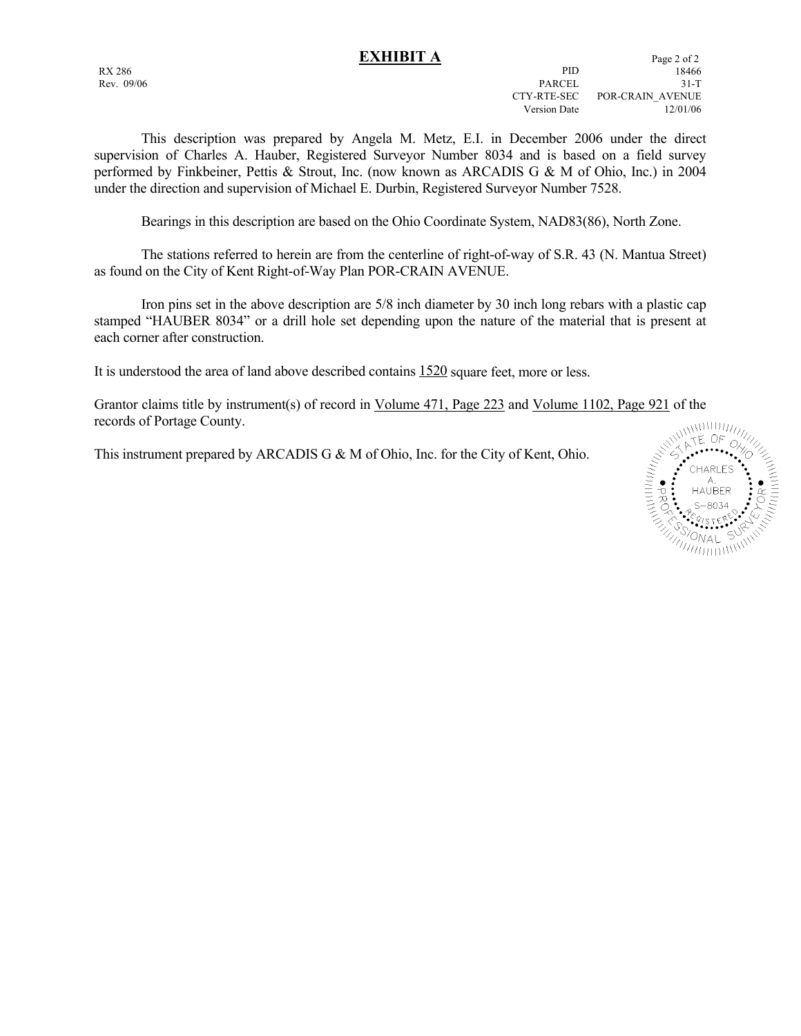This description was prepared by Angela M. Metz, E.I. in December 2006 under the direct supervision of Charles A. Hauber, Registered Surveyor Number 8034 and is based on a field survey performed by Finkbeiner, Pettis & Strout, Inc. (now known as ARCADIS G & M of Ohio, Inc.) in 2004 under the direction and supervision of Michael E. Durbin, Registered Surveyor Number 7528.

Bearings in this description are based on the Ohio Coordinate System, NAD83(86), North Zone.

 The stations referred to herein are from the centerline of right-of-way of S.R. 43 (N. Mantua Street) as found on the City of Kent Right-of-Way Plan POR-CRAIN AVENUE.

 Iron pins set in the above description are 5/8 inch diameter by 30 inch long rebars with a plastic cap stamped "HAUBER 8034" or a drill hole set depending upon the nature of the material that is present at each corner after construction.

It is understood the area of land above described contains 1520 square feet, more or less.

Grantor claims title by instrument(s) of record in <u>Volume 471, Page 223</u> and <u>Volume 1102, Page 921</u> of the<br>records of Portage County.<br>This instrument prepared by ARCADIS G & M of Ohio, Inc. for the City of Kent, Ohio.<br>records of Portage County.

This instrument prepared by ARCADIS G & M of Ohio, Inc. for the City of Kent, Ohio.

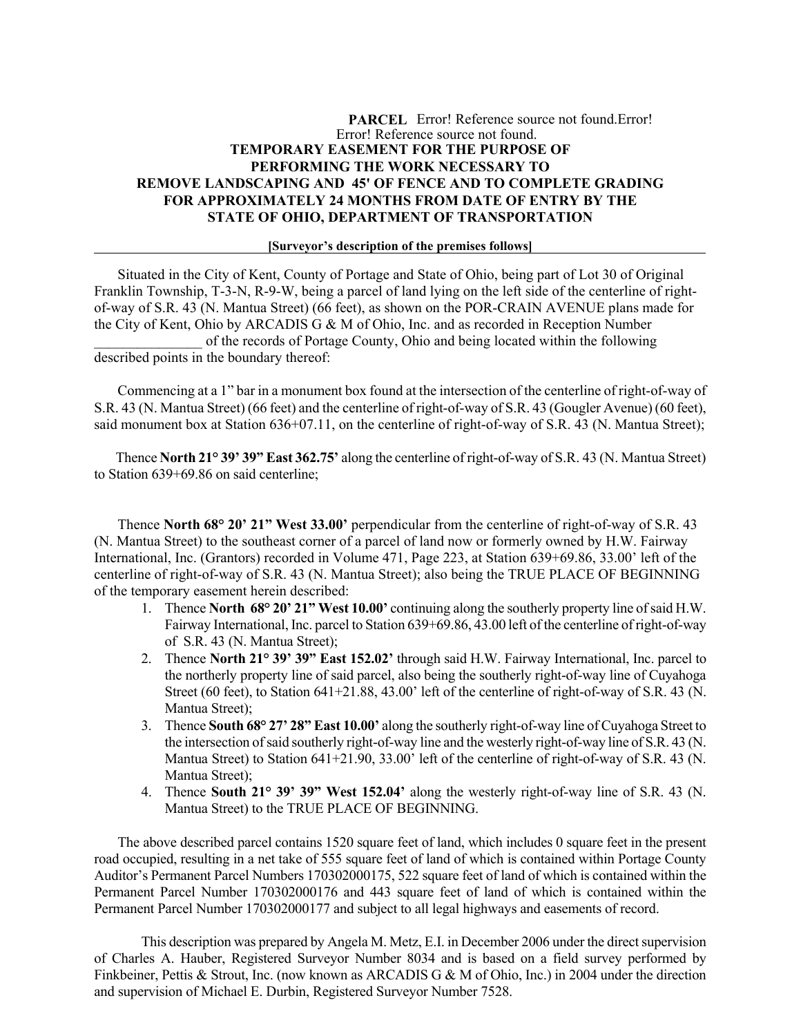# **PARCEL** Error! Reference source not found.Error! Error! Reference source not found. **TEMPORARY EASEMENT FOR THE PURPOSE OF PERFORMING THE WORK NECESSARY TO REMOVE LANDSCAPING AND 45' OF FENCE AND TO COMPLETE GRADING FOR APPROXIMATELY 24 MONTHS FROM DATE OF ENTRY BY THE STATE OF OHIO, DEPARTMENT OF TRANSPORTATION**

### **[Surveyor's description of the premises follows]**

 Situated in the City of Kent, County of Portage and State of Ohio, being part of Lot 30 of Original Franklin Township, T-3-N, R-9-W, being a parcel of land lying on the left side of the centerline of rightof-way of S.R. 43 (N. Mantua Street) (66 feet), as shown on the POR-CRAIN AVENUE plans made for the City of Kent, Ohio by ARCADIS G & M of Ohio, Inc. and as recorded in Reception Number of the records of Portage County, Ohio and being located within the following described points in the boundary thereof:

Commencing at a 1" bar in a monument box found at the intersection of the centerline of right-of-way of S.R. 43 (N. Mantua Street) (66 feet) and the centerline of right-of-way of S.R. 43 (Gougler Avenue) (60 feet), said monument box at Station 636+07.11, on the centerline of right-of-way of S.R. 43 (N. Mantua Street);

 Thence **North 21° 39' 39" East 362.75'** along the centerline of right-of-way of S.R. 43 (N. Mantua Street) to Station 639+69.86 on said centerline;

 Thence **North 68° 20' 21" West 33.00'** perpendicular from the centerline of right-of-way of S.R. 43 (N. Mantua Street) to the southeast corner of a parcel of land now or formerly owned by H.W. Fairway International, Inc. (Grantors) recorded in Volume 471, Page 223, at Station 639+69.86, 33.00' left of the centerline of right-of-way of S.R. 43 (N. Mantua Street); also being the TRUE PLACE OF BEGINNING of the temporary easement herein described:

- 1. Thence **North 68° 20' 21" West 10.00'** continuing along the southerly property line of said H.W. Fairway International, Inc. parcel to Station 639+69.86, 43.00 left of the centerline of right-of-way of S.R. 43 (N. Mantua Street);
- 2. Thence **North 21° 39' 39" East 152.02'** through said H.W. Fairway International, Inc. parcel to the northerly property line of said parcel, also being the southerly right-of-way line of Cuyahoga Street (60 feet), to Station 641+21.88, 43.00' left of the centerline of right-of-way of S.R. 43 (N. Mantua Street);
- 3. Thence **South 68° 27' 28" East 10.00'** along the southerly right-of-way line of Cuyahoga Street to the intersection of said southerly right-of-way line and the westerly right-of-way line of S.R. 43 (N. Mantua Street) to Station 641+21.90, 33.00' left of the centerline of right-of-way of S.R. 43 (N. Mantua Street);
- 4. Thence **South 21° 39' 39" West 152.04'** along the westerly right-of-way line of S.R. 43 (N. Mantua Street) to the TRUE PLACE OF BEGINNING.

 The above described parcel contains 1520 square feet of land, which includes 0 square feet in the present road occupied, resulting in a net take of 555 square feet of land of which is contained within Portage County Auditor's Permanent Parcel Numbers 170302000175, 522 square feet of land of which is contained within the Permanent Parcel Number 170302000176 and 443 square feet of land of which is contained within the Permanent Parcel Number 170302000177 and subject to all legal highways and easements of record.

This description was prepared by Angela M. Metz, E.I. in December 2006 under the direct supervision of Charles A. Hauber, Registered Surveyor Number 8034 and is based on a field survey performed by Finkbeiner, Pettis & Strout, Inc. (now known as ARCADIS G & M of Ohio, Inc.) in 2004 under the direction and supervision of Michael E. Durbin, Registered Surveyor Number 7528.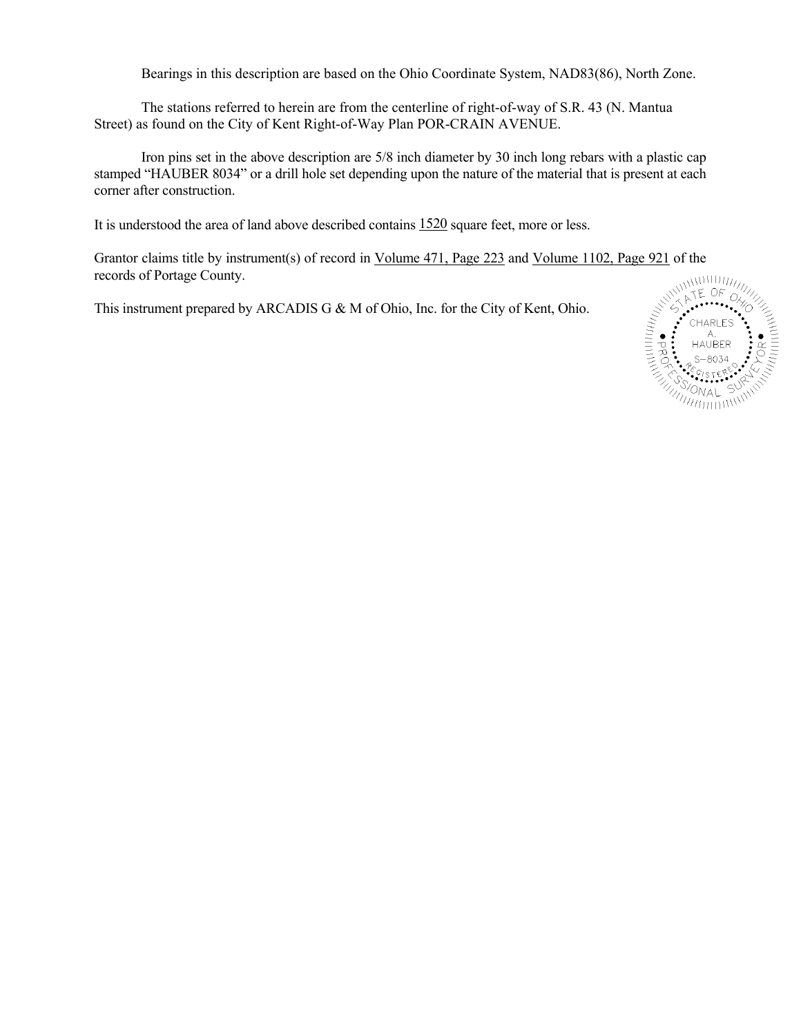Bearings in this description are based on the Ohio Coordinate System, NAD83(86), North Zone.

The stations referred to herein are from the centerline of right-of-way of S.R. 43 (N. Mantua Street) as found on the City of Kent Right-of-Way Plan POR-CRAIN AVENUE.

Iron pins set in the above description are 5/8 inch diameter by 30 inch long rebars with a plastic cap stamped "HAUBER 8034" or a drill hole set depending upon the nature of the material that is present at each corner after construction.

It is understood the area of land above described contains 1520 square feet, more or less.

Grantor claims title by instrument(s) of record in <u>Volume 471, Page 223</u> and <u>Volume 1102, Page 921</u> of the<br>records of Portage County.<br>This instrument prepared by ARCADIS G & M of Ohio, Inc. for the City of Kent, Ohio.<br>records of Portage County.

This instrument prepared by ARCADIS G & M of Ohio, Inc. for the City of Kent, Ohio.

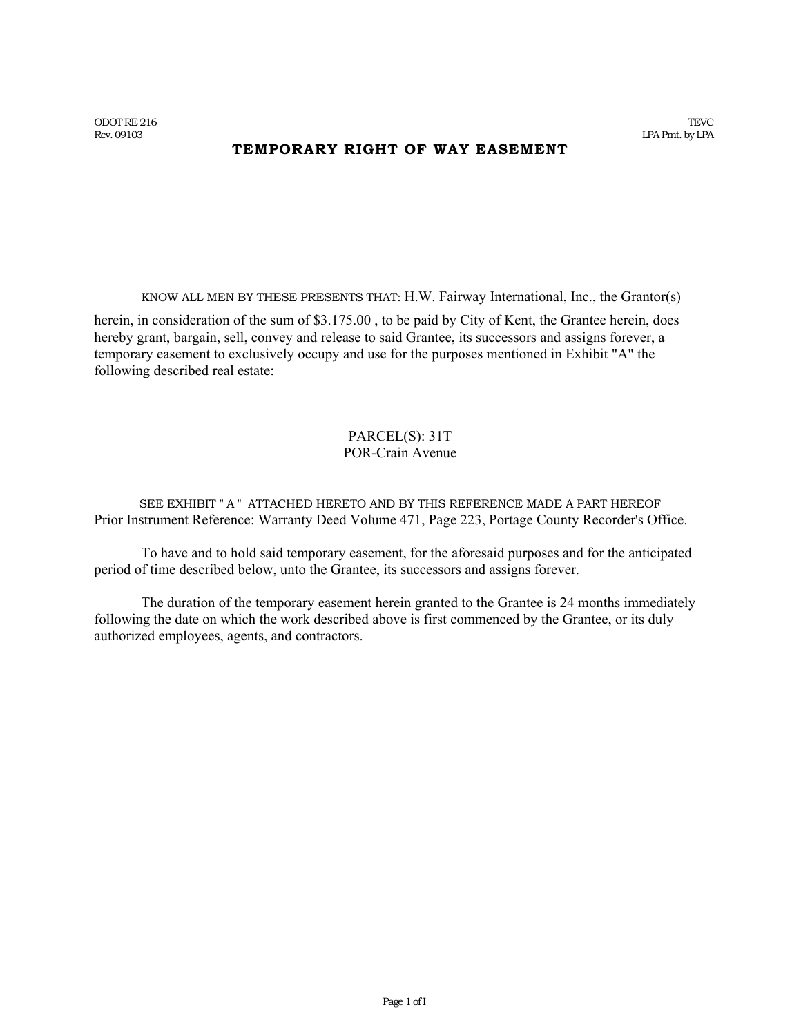# **TEMPORARY RIGHT OF WAY EASEMENT**

KNOW ALL MEN BY THESE PRESENTS THAT: H.W. Fairway International, Inc., the Grantor(s)

herein, in consideration of the sum of \$3.175.00, to be paid by City of Kent, the Grantee herein, does hereby grant, bargain, sell, convey and release to said Grantee, its successors and assigns forever, a temporary easement to exclusively occupy and use for the purposes mentioned in Exhibit "A" the following described real estate:

# PARCEL(S): 31T POR-Crain Avenue

SEE EXHIBIT " A " ATTACHED HERETO AND BY THIS REFERENCE MADE A PART HEREOF Prior Instrument Reference: Warranty Deed Volume 471, Page 223, Portage County Recorder's Office.

To have and to hold said temporary easement, for the aforesaid purposes and for the anticipated period of time described below, unto the Grantee, its successors and assigns forever.

The duration of the temporary easement herein granted to the Grantee is 24 months immediately following the date on which the work described above is first commenced by the Grantee, or its duly authorized employees, agents, and contractors.